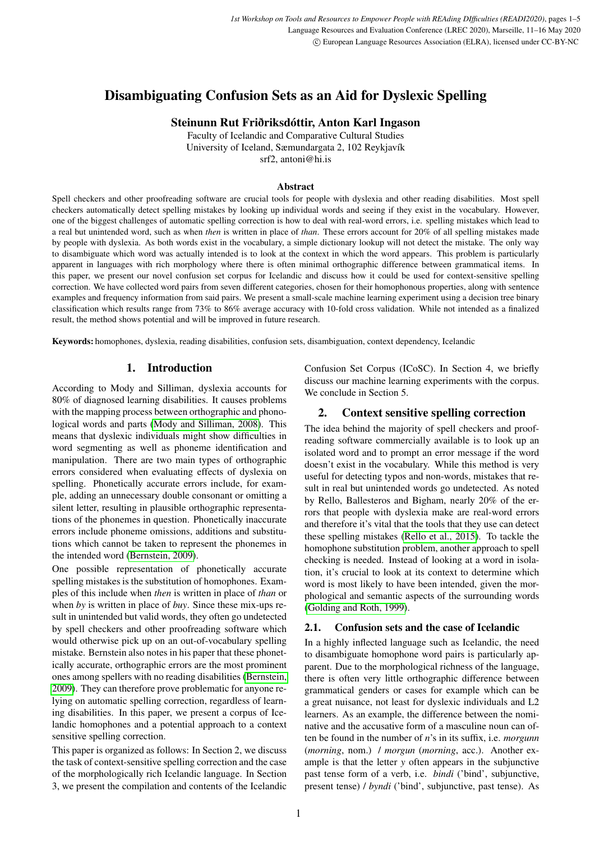# Disambiguating Confusion Sets as an Aid for Dyslexic Spelling

Steinunn Rut Friðriksdóttir, Anton Karl Ingason

Faculty of Icelandic and Comparative Cultural Studies University of Iceland, Sæmundargata 2, 102 Reykjavík srf2, antoni@hi.is

#### Abstract

Spell checkers and other proofreading software are crucial tools for people with dyslexia and other reading disabilities. Most spell checkers automatically detect spelling mistakes by looking up individual words and seeing if they exist in the vocabulary. However, one of the biggest challenges of automatic spelling correction is how to deal with real-word errors, i.e. spelling mistakes which lead to a real but unintended word, such as when *then* is written in place of *than*. These errors account for 20% of all spelling mistakes made by people with dyslexia. As both words exist in the vocabulary, a simple dictionary lookup will not detect the mistake. The only way to disambiguate which word was actually intended is to look at the context in which the word appears. This problem is particularly apparent in languages with rich morphology where there is often minimal orthographic difference between grammatical items. In this paper, we present our novel confusion set corpus for Icelandic and discuss how it could be used for context-sensitive spelling correction. We have collected word pairs from seven different categories, chosen for their homophonous properties, along with sentence examples and frequency information from said pairs. We present a small-scale machine learning experiment using a decision tree binary classification which results range from 73% to 86% average accuracy with 10-fold cross validation. While not intended as a finalized result, the method shows potential and will be improved in future research.

Keywords: homophones, dyslexia, reading disabilities, confusion sets, disambiguation, context dependency, Icelandic

#### 1. Introduction

According to Mody and Silliman, dyslexia accounts for 80% of diagnosed learning disabilities. It causes problems with the mapping process between orthographic and phonological words and parts [\(Mody and Silliman, 2008\)](#page-4-0). This means that dyslexic individuals might show difficulties in word segmenting as well as phoneme identification and manipulation. There are two main types of orthographic errors considered when evaluating effects of dyslexia on spelling. Phonetically accurate errors include, for example, adding an unnecessary double consonant or omitting a silent letter, resulting in plausible orthographic representations of the phonemes in question. Phonetically inaccurate errors include phoneme omissions, additions and substitutions which cannot be taken to represent the phonemes in the intended word [\(Bernstein, 2009\)](#page-3-0).

One possible representation of phonetically accurate spelling mistakes is the substitution of homophones. Examples of this include when *then* is written in place of *than* or when *by* is written in place of *buy*. Since these mix-ups result in unintended but valid words, they often go undetected by spell checkers and other proofreading software which would otherwise pick up on an out-of-vocabulary spelling mistake. Bernstein also notes in his paper that these phonetically accurate, orthographic errors are the most prominent ones among spellers with no reading disabilities [\(Bernstein,](#page-3-0) [2009\)](#page-3-0). They can therefore prove problematic for anyone relying on automatic spelling correction, regardless of learning disabilities. In this paper, we present a corpus of Icelandic homophones and a potential approach to a context sensitive spelling correction.

This paper is organized as follows: In Section 2, we discuss the task of context-sensitive spelling correction and the case of the morphologically rich Icelandic language. In Section 3, we present the compilation and contents of the Icelandic Confusion Set Corpus (ICoSC). In Section 4, we briefly discuss our machine learning experiments with the corpus. We conclude in Section 5.

## 2. Context sensitive spelling correction

The idea behind the majority of spell checkers and proofreading software commercially available is to look up an isolated word and to prompt an error message if the word doesn't exist in the vocabulary. While this method is very useful for detecting typos and non-words, mistakes that result in real but unintended words go undetected. As noted by Rello, Ballesteros and Bigham, nearly 20% of the errors that people with dyslexia make are real-word errors and therefore it's vital that the tools that they use can detect these spelling mistakes [\(Rello et al., 2015\)](#page-4-1). To tackle the homophone substitution problem, another approach to spell checking is needed. Instead of looking at a word in isolation, it's crucial to look at its context to determine which word is most likely to have been intended, given the morphological and semantic aspects of the surrounding words [\(Golding and Roth, 1999\)](#page-3-1).

#### 2.1. Confusion sets and the case of Icelandic

In a highly inflected language such as Icelandic, the need to disambiguate homophone word pairs is particularly apparent. Due to the morphological richness of the language, there is often very little orthographic difference between grammatical genders or cases for example which can be a great nuisance, not least for dyslexic individuals and L2 learners. As an example, the difference between the nominative and the accusative form of a masculine noun can often be found in the number of *n*'s in its suffix, i.e. *morgunn* (*morning*, nom.) / *morgun* (*morning*, acc.). Another example is that the letter *y* often appears in the subjunctive past tense form of a verb, i.e. *bindi* ('bind', subjunctive, present tense) / *byndi* ('bind', subjunctive, past tense). As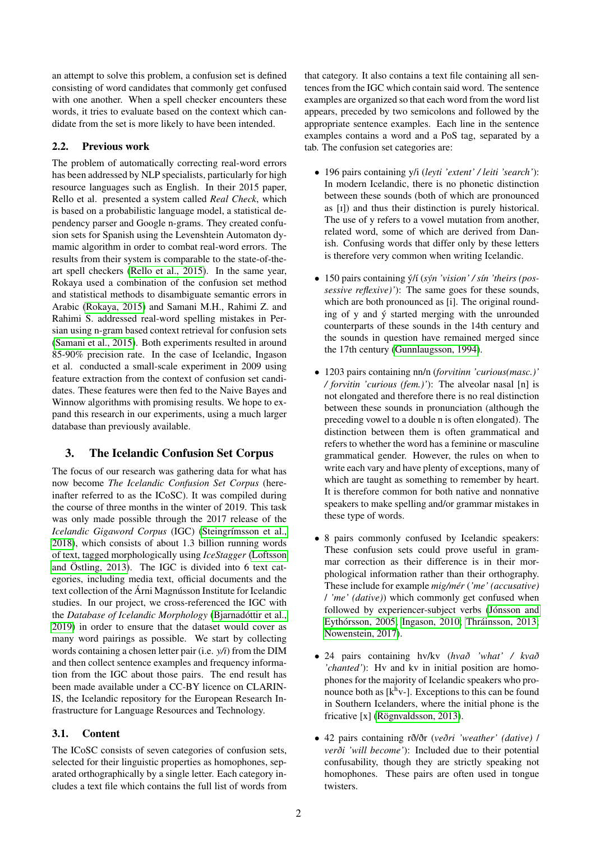an attempt to solve this problem, a confusion set is defined consisting of word candidates that commonly get confused with one another. When a spell checker encounters these words, it tries to evaluate based on the context which candidate from the set is more likely to have been intended.

## 2.2. Previous work

The problem of automatically correcting real-word errors has been addressed by NLP specialists, particularly for high resource languages such as English. In their 2015 paper, Rello et al. presented a system called *Real Check*, which is based on a probabilistic language model, a statistical dependency parser and Google n-grams. They created confusion sets for Spanish using the Levenshtein Automaton dymamic algorithm in order to combat real-word errors. The results from their system is comparable to the state-of-theart spell checkers [\(Rello et al., 2015\)](#page-4-1). In the same year, Rokaya used a combination of the confusion set method and statistical methods to disambiguate semantic errors in Arabic [\(Rokaya, 2015\)](#page-4-2) and Samani M.H., Rahimi Z. and Rahimi S. addressed real-word spelling mistakes in Persian using n-gram based context retrieval for confusion sets [\(Samani et al., 2015\)](#page-4-3). Both experiments resulted in around 85-90% precision rate. In the case of Icelandic, Ingason et al. conducted a small-scale experiment in 2009 using feature extraction from the context of confusion set candidates. These features were then fed to the Naive Bayes and Winnow algorithms with promising results. We hope to expand this research in our experiments, using a much larger database than previously available.

## 3. The Icelandic Confusion Set Corpus

The focus of our research was gathering data for what has now become *The Icelandic Confusion Set Corpus* (hereinafter referred to as the ICoSC). It was compiled during the course of three months in the winter of 2019. This task was only made possible through the 2017 release of the *Icelandic Gigaword Corpus* (IGC) [\(Steingrímsson et al.,](#page-4-4) [2018\)](#page-4-4), which consists of about 1.3 billion running words of text, tagged morphologically using *IceStagger* [\(Loftsson](#page-4-5) [and Östling, 2013\)](#page-4-5). The IGC is divided into 6 text categories, including media text, official documents and the text collection of the Árni Magnússon Institute for Icelandic studies. In our project, we cross-referenced the IGC with the *Database of Icelandic Morphology* [\(Bjarnadóttir et al.,](#page-3-2) [2019\)](#page-3-2) in order to ensure that the dataset would cover as many word pairings as possible. We start by collecting words containing a chosen letter pair (i.e. *y/i*) from the DIM and then collect sentence examples and frequency information from the IGC about those pairs. The end result has been made available under a CC-BY licence on CLARIN-IS, the Icelandic repository for the European Research Infrastructure for Language Resources and Technology.

#### 3.1. Content

The ICoSC consists of seven categories of confusion sets, selected for their linguistic properties as homophones, separated orthographically by a single letter. Each category includes a text file which contains the full list of words from that category. It also contains a text file containing all sentences from the IGC which contain said word. The sentence examples are organized so that each word from the word list appears, preceded by two semicolons and followed by the appropriate sentence examples. Each line in the sentence examples contains a word and a PoS tag, separated by a tab. The confusion set categories are:

- 196 pairs containing y/i (*leyti 'extent' / leiti 'search'*): In modern Icelandic, there is no phonetic distinction between these sounds (both of which are pronounced as [I]) and thus their distinction is purely historical. The use of y refers to a vowel mutation from another, related word, some of which are derived from Danish. Confusing words that differ only by these letters is therefore very common when writing Icelandic.
- 150 pairs containing ý/í (*sýn 'vision' / sín 'theirs (possessive reflexive)'*): The same goes for these sounds, which are both pronounced as [i]. The original rounding of y and ý started merging with the unrounded counterparts of these sounds in the 14th century and the sounds in question have remained merged since the 17th century [\(Gunnlaugsson, 1994\)](#page-3-3).
- 1203 pairs containing nn/n (*forvitinn 'curious(masc.)' / forvitin 'curious (fem.)'*): The alveolar nasal [n] is not elongated and therefore there is no real distinction between these sounds in pronunciation (although the preceding vowel to a double n is often elongated). The distinction between them is often grammatical and refers to whether the word has a feminine or masculine grammatical gender. However, the rules on when to write each vary and have plenty of exceptions, many of which are taught as something to remember by heart. It is therefore common for both native and nonnative speakers to make spelling and/or grammar mistakes in these type of words.
- 8 pairs commonly confused by Icelandic speakers: These confusion sets could prove useful in grammar correction as their difference is in their morphological information rather than their orthography. These include for example *mig/mér* (*'me' (accusative)* / *'me' (dative)*) which commonly get confused when followed by experiencer-subject verbs [\(Jónsson and](#page-3-4) [Eythórsson, 2005;](#page-3-4) [Ingason, 2010;](#page-3-5) [Thráinsson, 2013;](#page-4-6) [Nowenstein, 2017\)](#page-4-7).
- 24 pairs containing hv/kv (*hvað 'what' / kvað 'chanted'*): Hv and kv in initial position are homophones for the majority of Icelandic speakers who pronounce both as  $[k^h v-]$ . Exceptions to this can be found in Southern Icelanders, where the initial phone is the fricative [x] [\(Rögnvaldsson, 2013\)](#page-4-8).
- 42 pairs containing rð/ðr (*veðri 'weather' (dative)* / *verði 'will become'*): Included due to their potential confusability, though they are strictly speaking not homophones. These pairs are often used in tongue twisters.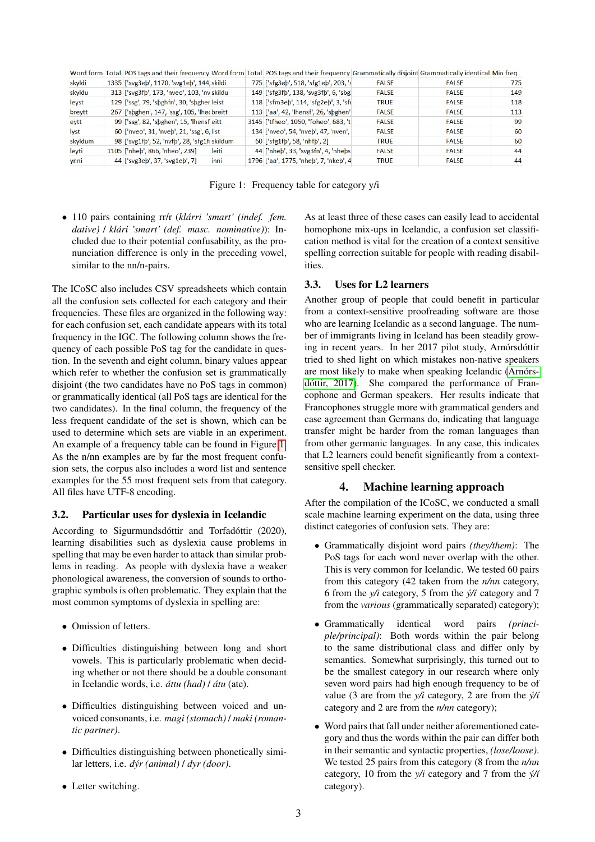|         |                                               |       | Word form Total POS tags and their frequency Word form Total POS tags and their frequency Grammatically disjoint Grammatically identical Min freq |              |              |     |
|---------|-----------------------------------------------|-------|---------------------------------------------------------------------------------------------------------------------------------------------------|--------------|--------------|-----|
| skyldi  | 1335 ['svg3eb', 1170, 'svg1eb', 144 skildi    |       | 775 ['sfg3eb', 518, 'sfg1eb', 203, 's                                                                                                             | <b>FALSE</b> | <b>FALSE</b> | 775 |
| skyldu  | 313 ['svg3fb', 173, 'nveo', 103, 'nv skildu   |       | 149 ['sfg3fb', 138, 'svg3fb', 6, 'sbg.                                                                                                            | <b>FALSE</b> | <b>FALSE</b> | 149 |
| leyst   | 129 ['ssg', 79, 'sbghfn', 30, 'sbgher leist   |       | 118 ['sfm3eb', 114, 'sfg2eb', 3, 'sfi                                                                                                             | <b>TRUE</b>  | <b>FALSE</b> | 118 |
| breytt  | 267 ['sbghen', 147, 'ssg', 105, 'lhee breitt  |       | 113 ['aa', 42, 'lhensf', 26, 'sbghen'                                                                                                             | <b>FALSE</b> | <b>FALSE</b> | 113 |
| eytt    | 99 ['ssg', 82, 'sbghen', 15, 'lhensf eitt     |       | 3145 ['tfheo', 1050, 'foheo', 683, 't                                                                                                             | <b>FALSE</b> | <b>FALSE</b> | 99  |
| lyst    | 60 ['nveo', 31, 'nveb', 21, 'ssg', 6, list    |       | 134 ['nveo', 54, 'nveb', 47, 'nven',                                                                                                              | <b>FALSE</b> | <b>FALSE</b> | 60  |
| skyldum | 98 ['svg1fb', 52, 'nvfb', 28, 'sfg1f(skildum) |       | 60 ['sfg1fb', 58, 'nhfb', 2]                                                                                                                      | <b>TRUE</b>  | <b>FALSE</b> | 60  |
| leyti   | 1105 ['nheb', 866, 'nheo', 239]               | leiti | 44 ['nheb', 33, 'svg3fn', 4, 'nhebs                                                                                                               | <b>FALSE</b> | <b>FALSE</b> | 44  |
| ynni    | 44 ['svg3eb', 37, 'svg1eb', 7]                | inni  | 1796 ['aa', 1775, 'nheb', 7, 'nkeb', 4                                                                                                            | <b>TRUE</b>  | <b>FALSE</b> | 44  |
|         |                                               |       |                                                                                                                                                   |              |              |     |

<span id="page-2-0"></span>Figure 1: Frequency table for category y/i

• 110 pairs containing rr/r (*klárri 'smart' (indef. fem. dative)* / *klári 'smart' (def. masc. nominative)*): Included due to their potential confusability, as the pronunciation difference is only in the preceding vowel, similar to the nn/n-pairs.

The ICoSC also includes CSV spreadsheets which contain all the confusion sets collected for each category and their frequencies. These files are organized in the following way: for each confusion set, each candidate appears with its total frequency in the IGC. The following column shows the frequency of each possible PoS tag for the candidate in question. In the seventh and eight column, binary values appear which refer to whether the confusion set is grammatically disjoint (the two candidates have no PoS tags in common) or grammatically identical (all PoS tags are identical for the two candidates). In the final column, the frequency of the less frequent candidate of the set is shown, which can be used to determine which sets are viable in an experiment. An example of a frequency table can be found in Figure [1.](#page-2-0) As the n/nn examples are by far the most frequent confusion sets, the corpus also includes a word list and sentence examples for the 55 most frequent sets from that category. All files have UTF-8 encoding.

#### 3.2. Particular uses for dyslexia in Icelandic

According to Sigurmundsdóttir and Torfadóttir (2020), learning disabilities such as dyslexia cause problems in spelling that may be even harder to attack than similar problems in reading. As people with dyslexia have a weaker phonological awareness, the conversion of sounds to orthographic symbols is often problematic. They explain that the most common symptoms of dyslexia in spelling are:

- Omission of letters.
- Difficulties distinguishing between long and short vowels. This is particularly problematic when deciding whether or not there should be a double consonant in Icelandic words, i.e. *áttu (had)* / *átu* (ate).
- Difficulties distinguishing between voiced and unvoiced consonants, i.e. *magi (stomach)* / *maki (romantic partner)*.
- Difficulties distinguishing between phonetically similar letters, i.e. *dýr (animal)* / *dyr (door)*.
- Letter switching.

As at least three of these cases can easily lead to accidental homophone mix-ups in Icelandic, a confusion set classification method is vital for the creation of a context sensitive spelling correction suitable for people with reading disabilities.

#### 3.3. Uses for L2 learners

Another group of people that could benefit in particular from a context-sensitive proofreading software are those who are learning Icelandic as a second language. The number of immigrants living in Iceland has been steadily growing in recent years. In her 2017 pilot study, Arnórsdóttir tried to shed light on which mistakes non-native speakers are most likely to make when speaking Icelandic [\(Arnórs](#page-3-6)[dóttir, 2017\)](#page-3-6). She compared the performance of Francophone and German speakers. Her results indicate that Francophones struggle more with grammatical genders and case agreement than Germans do, indicating that language transfer might be harder from the roman languages than from other germanic languages. In any case, this indicates that L2 learners could benefit significantly from a contextsensitive spell checker.

#### 4. Machine learning approach

After the compilation of the ICoSC, we conducted a small scale machine learning experiment on the data, using three distinct categories of confusion sets. They are:

- Grammatically disjoint word pairs *(they/them)*: The PoS tags for each word never overlap with the other. This is very common for Icelandic. We tested 60 pairs from this category (42 taken from the *n/nn* category, 6 from the *y/i* category, 5 from the *ý/í* category and 7 from the *various* (grammatically separated) category);
- Grammatically identical word pairs *(principle/principal)*: Both words within the pair belong to the same distributional class and differ only by semantics. Somewhat surprisingly, this turned out to be the smallest category in our research where only seven word pairs had high enough frequency to be of value (3 are from the *y/i* category, 2 are from the *ý/í* category and 2 are from the *n/nn* category);
- Word pairs that fall under neither aforementioned category and thus the words within the pair can differ both in their semantic and syntactic properties, *(lose/loose)*. We tested 25 pairs from this category (8 from the *n/nn* category, 10 from the *y/i* category and 7 from the *ý/í* category).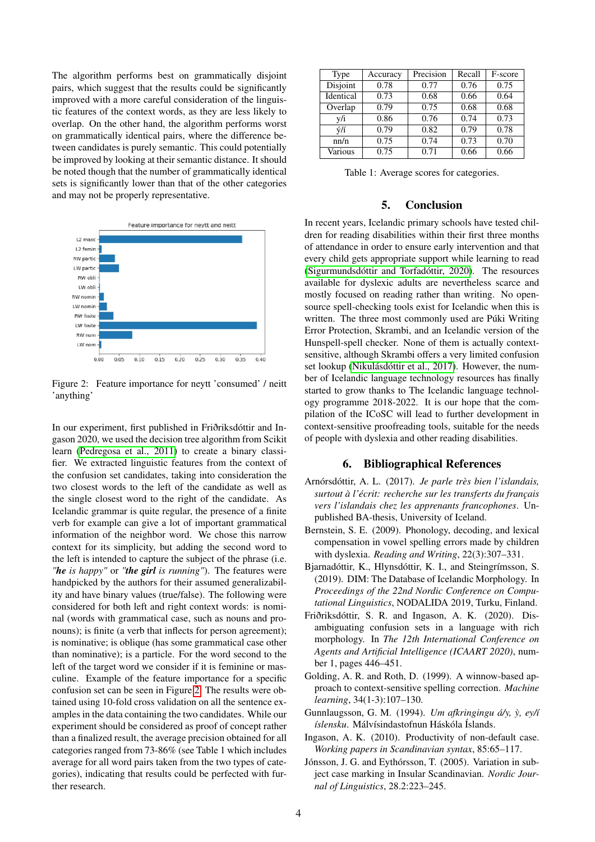The algorithm performs best on grammatically disjoint pairs, which suggest that the results could be significantly improved with a more careful consideration of the linguistic features of the context words, as they are less likely to overlap. On the other hand, the algorithm performs worst on grammatically identical pairs, where the difference between candidates is purely semantic. This could potentially be improved by looking at their semantic distance. It should be noted though that the number of grammatically identical sets is significantly lower than that of the other categories and may not be properly representative.



<span id="page-3-7"></span>Figure 2: Feature importance for neytt 'consumed' / neitt 'anything'

In our experiment, first published in Friðriksdóttir and Ingason 2020, we used the decision tree algorithm from Scikit learn [\(Pedregosa et al., 2011\)](#page-4-9) to create a binary classifier. We extracted linguistic features from the context of the confusion set candidates, taking into consideration the two closest words to the left of the candidate as well as the single closest word to the right of the candidate. As Icelandic grammar is quite regular, the presence of a finite verb for example can give a lot of important grammatical information of the neighbor word. We chose this narrow context for its simplicity, but adding the second word to the left is intended to capture the subject of the phrase (i.e. *"he is happy"* or *"the girl is running"*). The features were handpicked by the authors for their assumed generalizability and have binary values (true/false). The following were considered for both left and right context words: is nominal (words with grammatical case, such as nouns and pronouns); is finite (a verb that inflects for person agreement); is nominative; is oblique (has some grammatical case other than nominative); is a particle. For the word second to the left of the target word we consider if it is feminine or masculine. Example of the feature importance for a specific confusion set can be seen in Figure [2.](#page-3-7) The results were obtained using 10-fold cross validation on all the sentence examples in the data containing the two candidates. While our experiment should be considered as proof of concept rather than a finalized result, the average precision obtained for all categories ranged from 73-86% (see Table 1 which includes average for all word pairs taken from the two types of categories), indicating that results could be perfected with further research.

| Type      | Accuracy | Precision | Recall | F-score |
|-----------|----------|-----------|--------|---------|
| Disjoint  | 0.78     | 0.77      | 0.76   | 0.75    |
| Identical | 0.73     | 0.68      | 0.66   | 0.64    |
| Overlap   | 0.79     | 0.75      | 0.68   | 0.68    |
| v/i       | 0.86     | 0.76      | 0.74   | 0.73    |
| ý/í       | 0.79     | 0.82      | 0.79   | 0.78    |
| nn/n      | 0.75     | 0.74      | 0.73   | 0.70    |
| Various   | 0.75     | 0.71      | 0.66   | 0.66    |

Table 1: Average scores for categories.

#### 5. Conclusion

In recent years, Icelandic primary schools have tested children for reading disabilities within their first three months of attendance in order to ensure early intervention and that every child gets appropriate support while learning to read [\(Sigurmundsdóttir and Torfadóttir, 2020\)](#page-4-10). The resources available for dyslexic adults are nevertheless scarce and mostly focused on reading rather than writing. No opensource spell-checking tools exist for Icelandic when this is written. The three most commonly used are Púki Writing Error Protection, Skrambi, and an Icelandic version of the Hunspell-spell checker. None of them is actually contextsensitive, although Skrambi offers a very limited confusion set lookup [\(Nikulásdóttir et al., 2017\)](#page-4-11). However, the number of Icelandic language technology resources has finally started to grow thanks to The Icelandic language technology programme 2018-2022. It is our hope that the compilation of the ICoSC will lead to further development in context-sensitive proofreading tools, suitable for the needs of people with dyslexia and other reading disabilities.

## 6. Bibliographical References

- <span id="page-3-6"></span>Arnórsdóttir, A. L. (2017). *Je parle très bien l'islandais, surtout à l'écrit: recherche sur les transferts du français vers l'islandais chez les apprenants francophones*. Unpublished BA-thesis, University of Iceland.
- <span id="page-3-0"></span>Bernstein, S. E. (2009). Phonology, decoding, and lexical compensation in vowel spelling errors made by children with dyslexia. *Reading and Writing*, 22(3):307–331.
- <span id="page-3-2"></span>Bjarnadóttir, K., Hlynsdóttir, K. I., and Steingrímsson, S. (2019). DIM: The Database of Icelandic Morphology. In *Proceedings of the 22nd Nordic Conference on Computational Linguistics*, NODALIDA 2019, Turku, Finland.
- Friðriksdóttir, S. R. and Ingason, A. K. (2020). Disambiguating confusion sets in a language with rich morphology. In *The 12th International Conference on Agents and Artificial Intelligence (ICAART 2020)*, number 1, pages 446–451.
- <span id="page-3-1"></span>Golding, A. R. and Roth, D. (1999). A winnow-based approach to context-sensitive spelling correction. *Machine learning*, 34(1-3):107–130.
- <span id="page-3-3"></span>Gunnlaugsson, G. M. (1994). *Um afkringingu á/y, y, ey/í ` íslensku*. Málvísindastofnun Háskóla Íslands.
- <span id="page-3-5"></span>Ingason, A. K. (2010). Productivity of non-default case. *Working papers in Scandinavian syntax*, 85:65–117.
- <span id="page-3-4"></span>Jónsson, J. G. and Eythórsson, T. (2005). Variation in subject case marking in Insular Scandinavian. *Nordic Journal of Linguistics*, 28.2:223–245.